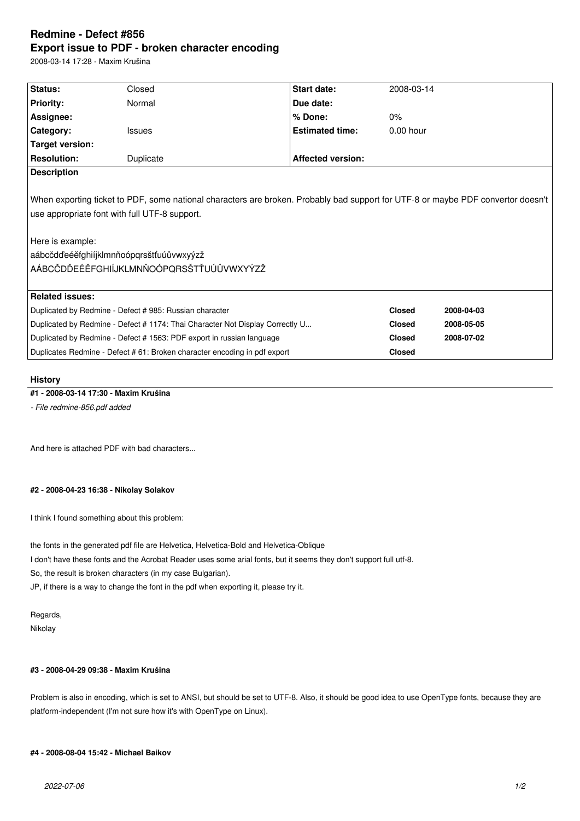# **Redmine - Defect #856 Export issue to PDF - broken character encoding**

2008-03-14 17:28 - Maxim Krušina

| Status:                                                                                                                          | Closed        | <b>Start date:</b>       | 2008-03-14    |            |  |
|----------------------------------------------------------------------------------------------------------------------------------|---------------|--------------------------|---------------|------------|--|
| <b>Priority:</b>                                                                                                                 | Normal        | Due date:                |               |            |  |
| Assignee:                                                                                                                        |               | % Done:                  | 0%            |            |  |
| Category:                                                                                                                        | <b>Issues</b> | <b>Estimated time:</b>   | $0.00$ hour   |            |  |
| <b>Target version:</b>                                                                                                           |               |                          |               |            |  |
| <b>Resolution:</b>                                                                                                               | Duplicate     | <b>Affected version:</b> |               |            |  |
| <b>Description</b>                                                                                                               |               |                          |               |            |  |
|                                                                                                                                  |               |                          |               |            |  |
| When exporting ticket to PDF, some national characters are broken. Probably bad support for UTF-8 or maybe PDF convertor doesn't |               |                          |               |            |  |
| use appropriate font with full UTF-8 support.                                                                                    |               |                          |               |            |  |
|                                                                                                                                  |               |                          |               |            |  |
| Here is example:                                                                                                                 |               |                          |               |            |  |
| aábcčdďeéěfghiíjklmnňoópqrsštťuúůvwxyýzž                                                                                         |               |                          |               |            |  |
| AÁBCČDĎEÉĚFGHIÍJKLMNŇOÓPQRSŠTŤUÚŮVWXYÝZŽ                                                                                         |               |                          |               |            |  |
|                                                                                                                                  |               |                          |               |            |  |
| <b>Related issues:</b>                                                                                                           |               |                          |               |            |  |
| Duplicated by Redmine - Defect # 985: Russian character                                                                          |               |                          | <b>Closed</b> | 2008-04-03 |  |
| Duplicated by Redmine - Defect #1174: Thai Character Not Display Correctly U                                                     |               |                          | <b>Closed</b> | 2008-05-05 |  |
| Duplicated by Redmine - Defect # 1563: PDF export in russian language                                                            |               |                          | <b>Closed</b> | 2008-07-02 |  |
| Duplicates Redmine - Defect # 61: Broken character encoding in pdf export                                                        |               |                          | <b>Closed</b> |            |  |
|                                                                                                                                  |               |                          |               |            |  |

# **History**

# **#1 - 2008-03-14 17:30 - Maxim Krušina**

*- File redmine-856.pdf added*

And here is attached PDF with bad characters...

### **#2 - 2008-04-23 16:38 - Nikolay Solakov**

I think I found something about this problem:

the fonts in the generated pdf file are Helvetica, Helvetica-Bold and Helvetica-Oblique

I don't have these fonts and the Acrobat Reader uses some arial fonts, but it seems they don't support full utf-8.

So, the result is broken characters (in my case Bulgarian).

JP, if there is a way to change the font in the pdf when exporting it, please try it.

Regards, Nikolay

# **#3 - 2008-04-29 09:38 - Maxim Krušina**

Problem is also in encoding, which is set to ANSI, but should be set to UTF-8. Also, it should be good idea to use OpenType fonts, because they are platform-independent (I'm not sure how it's with OpenType on Linux).

## **#4 - 2008-08-04 15:42 - Michael Baikov**